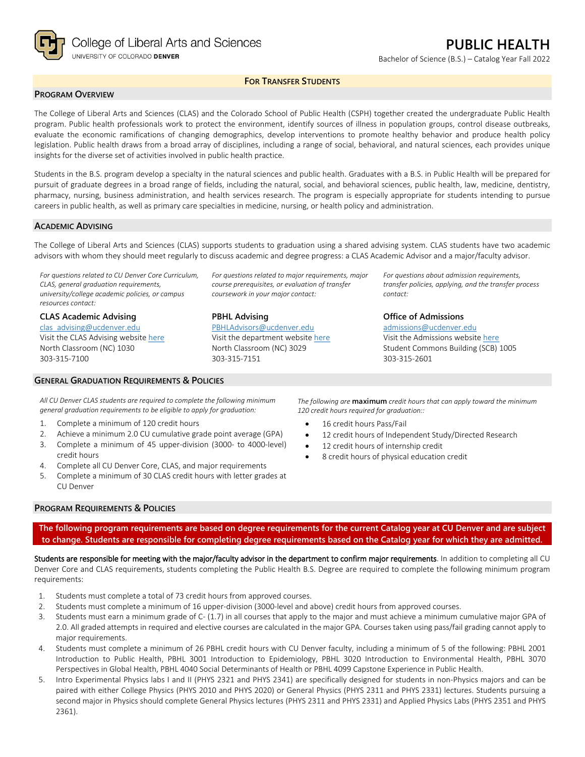

Bachelor of Science (B.S.) – Catalog Year Fall 2022

## **FOR TRANSFER STUDENTS**

### **PROGRAM OVERVIEW**

The College of Liberal Arts and Sciences (CLAS) and the Colorado School of Public Health (CSPH) together created the undergraduate Public Health program. Public health professionals work to protect the environment, identify sources of illness in population groups, control disease outbreaks, evaluate the economic ramifications of changing demographics, develop interventions to promote healthy behavior and produce health policy legislation. Public health draws from a broad array of disciplines, including a range of social, behavioral, and natural sciences, each provides unique insights for the diverse set of activities involved in public health practice.

Students in the B.S. program develop a specialty in the natural sciences and public health. Graduates with a B.S. in Public Health will be prepared for pursuit of graduate degrees in a broad range of fields, including the natural, social, and behavioral sciences, public health, law, medicine, dentistry, pharmacy, nursing, business administration, and health services research. The program is especially appropriate for students intending to pursue careers in public health, as well as primary care specialties in medicine, nursing, or health policy and administration.

#### **ACADEMIC ADVISING**

The College of Liberal Arts and Sciences (CLAS) supports students to graduation using a shared advising system. CLAS students have two academic advisors with whom they should meet regularly to discuss academic and degree progress: a CLAS Academic Advisor and a major/faculty advisor.

*For questions related to CU Denver Core Curriculum, CLAS, general graduation requirements, university/college academic policies, or campus resources contact:*

#### **CLAS Academic Advising**

[clas\\_advising@ucdenver.edu](mailto:clas_advising@ucdenver.edu) Visit the CLAS Advising websit[e here](https://clas.ucdenver.edu/advising/) North Classroom (NC) 1030 303-315-7100

#### **GENERAL GRADUATION REQUIREMENTS & POLICIES**

*For questions related to major requirements, major course prerequisites, or evaluation of transfer coursework in your major contact:*

**PBHL Advising**

[PBHLAdvisors@ucdenver.edu](mailto:PBHLAdvisors@ucdenver.edu) Visit the department website [here](https://clas.ucdenver.edu/hbsc/degree-programs/bachelor-arts-or-science-public-health) North Classroom (NC) 3029 303-315-7151

*For questions about admission requirements, transfer policies, applying, and the transfer process contact:*

### **Office of Admissions**

[admissions@ucdenver.edu](mailto:admissions@ucdenver.edu) Visit the Admissions website [here](http://www.ucdenver.edu/admissions/Pages/index.aspx) Student Commons Building (SCB) 1005 303-315-2601

*All CU Denver CLAS students are required to complete the following minimum general graduation requirements to be eligible to apply for graduation:*

- 1. Complete a minimum of 120 credit hours
- 2. Achieve a minimum 2.0 CU cumulative grade point average (GPA)
- 3. Complete a minimum of 45 upper-division (3000- to 4000-level) credit hours
- 4. Complete all CU Denver Core, CLAS, and major requirements
- 5. Complete a minimum of 30 CLAS credit hours with letter grades at CU Denver

*The following are* **maximum** *credit hours that can apply toward the minimum 120 credit hours required for graduation::*

- 16 credit hours Pass/Fail
- 12 credit hours of Independent Study/Directed Research
- 12 credit hours of internship credit
- 8 credit hours of physical education credit

#### **PROGRAM REQUIREMENTS & POLICIES**

**The following program requirements are based on degree requirements for the current Catalog year at CU Denver and are subject to change. Students are responsible for completing degree requirements based on the Catalog year for which they are admitted.**

Students are responsible for meeting with the major/faculty advisor in the department to confirm major requirements. In addition to completing all CU Denver Core and CLAS requirements, students completing the Public Health B.S. Degree are required to complete the following minimum program requirements:

- 1. Students must complete a total of 73 credit hours from approved courses.
- 2. Students must complete a minimum of 16 upper-division (3000-level and above) credit hours from approved courses.
- 3. Students must earn a minimum grade of C- (1.7) in all courses that apply to the major and must achieve a minimum cumulative major GPA of 2.0. All graded attempts in required and elective courses are calculated in the major GPA. Courses taken using pass/fail grading cannot apply to major requirements.
- 4. Students must complete a minimum of 26 PBHL credit hours with CU Denver faculty, including a minimum of 5 of the following: PBHL 2001 Introduction to Public Health, PBHL 3001 Introduction to Epidemiology, PBHL 3020 Introduction to Environmental Health, PBHL 3070 Perspectives in Global Health, PBHL 4040 Social Determinants of Health or PBHL 4099 Capstone Experience in Public Health.
- 5. Intro Experimental Physics labs I and II (PHYS 2321 and PHYS 2341) are specifically designed for students in non-Physics majors and can be paired with either College Physics (PHYS 2010 and PHYS 2020) or General Physics (PHYS 2311 and PHYS 2331) lectures. Students pursuing a second major in Physics should complete General Physics lectures (PHYS 2311 and PHYS 2331) and Applied Physics Labs (PHYS 2351 and PHYS 2361).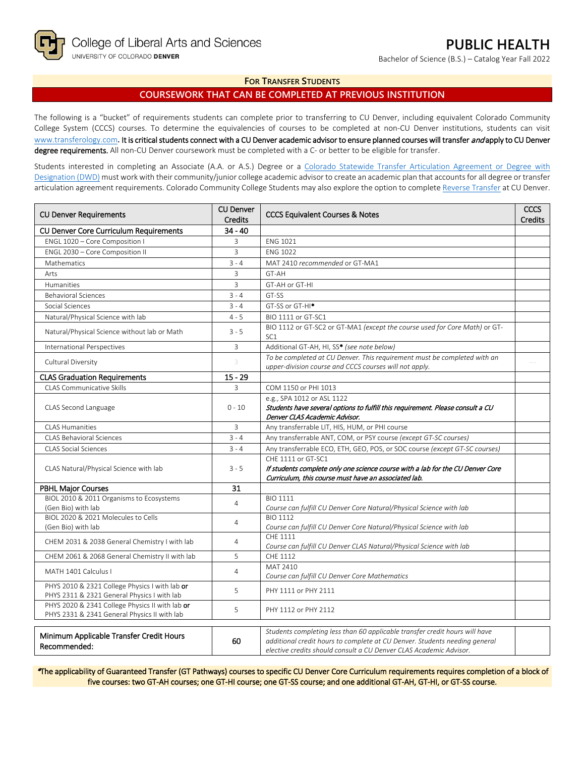Bachelor of Science (B.S.) – Catalog Year Fall 2022

## **FOR TRANSFER STUDENTS**

# **COURSEWORK THAT CAN BE COMPLETED AT PREVIOUS INSTITUTION**

The following is a "bucket" of requirements students can complete prior to transferring to CU Denver, including equivalent Colorado Community College System (CCCS) courses. To determine the equivalencies of courses to be completed at non-CU Denver institutions, students can visit [www.transferology.com](http://www.transferology.com/)**.** It is critical students connect with a CU Denver academic advisor to ensure planned courses will transfer and apply to CU Denver degree requirements. All non-CU Denver coursework must be completed with a C- or better to be eligible for transfer.

Students interested in completing an Associate (A.A. or A.S.) Degree or a [Colorado Statewide Transfer Articulation Agreement or Degree with](https://highered.colorado.gov/transfer-degrees)  [Designation \(DWD\)](https://highered.colorado.gov/transfer-degrees) must work with their community/junior college academic advisor to create an academic plan that accounts for all degree or transfer articulation agreement requirements. Colorado Community College Students may also explore the option to complet[e Reverse Transfer](https://highered.colorado.gov/students/attending-college/colorado-reverse-transfer) at CU Denver.

| <b>CU Denver Requirements</b>                                                                   | <b>CU Denver</b><br><b>Credits</b> | <b>CCCS Equivalent Courses &amp; Notes</b>                                                                                                                                                                                      |  |
|-------------------------------------------------------------------------------------------------|------------------------------------|---------------------------------------------------------------------------------------------------------------------------------------------------------------------------------------------------------------------------------|--|
| CU Denver Core Curriculum Requirements                                                          | $34 - 40$                          |                                                                                                                                                                                                                                 |  |
| ENGL 1020 - Core Composition I                                                                  | 3                                  | <b>ENG 1021</b>                                                                                                                                                                                                                 |  |
| ENGL 2030 - Core Composition II                                                                 | 3                                  | <b>ENG 1022</b>                                                                                                                                                                                                                 |  |
| Mathematics                                                                                     | $3 - 4$                            | MAT 2410 recommended or GT-MA1                                                                                                                                                                                                  |  |
| Arts                                                                                            | 3                                  | GT-AH                                                                                                                                                                                                                           |  |
| Humanities                                                                                      | $\overline{3}$                     | GT-AH or GT-HI                                                                                                                                                                                                                  |  |
| <b>Behavioral Sciences</b>                                                                      | $3 - 4$                            | GT-SS                                                                                                                                                                                                                           |  |
| Social Sciences                                                                                 | $3 - 4$                            | GT-SS or GT-HI <sup>*</sup>                                                                                                                                                                                                     |  |
| Natural/Physical Science with lab                                                               | $4 - 5$                            | BIO 1111 or GT-SC1                                                                                                                                                                                                              |  |
| Natural/Physical Science without lab or Math                                                    | $3 - 5$                            | BIO 1112 or GT-SC2 or GT-MA1 (except the course used for Core Math) or GT-<br>SC <sub>1</sub>                                                                                                                                   |  |
| International Perspectives                                                                      | 3                                  | Additional GT-AH, HI, SS* (see note below)                                                                                                                                                                                      |  |
| Cultural Diversity                                                                              | 3                                  | To be completed at CU Denver. This requirement must be completed with an<br>upper-division course and CCCS courses will not apply.                                                                                              |  |
| <b>CLAS Graduation Requirements</b>                                                             | $15 - 29$                          |                                                                                                                                                                                                                                 |  |
| <b>CLAS Communicative Skills</b>                                                                | 3                                  | COM 1150 or PHI 1013                                                                                                                                                                                                            |  |
| CLAS Second Language                                                                            | $0 - 10$                           | e.g., SPA 1012 or ASL 1122<br>Students have several options to fulfill this requirement. Please consult a CU<br>Denver CLAS Academic Advisor.                                                                                   |  |
| <b>CLAS Humanities</b>                                                                          | 3                                  | Any transferrable LIT, HIS, HUM, or PHI course                                                                                                                                                                                  |  |
| <b>CLAS Behavioral Sciences</b>                                                                 | $3 - 4$                            | Any transferrable ANT, COM, or PSY course (except GT-SC courses)                                                                                                                                                                |  |
| <b>CLAS Social Sciences</b>                                                                     | $3 - 4$                            | Any transferrable ECO, ETH, GEO, POS, or SOC course (except GT-SC courses)                                                                                                                                                      |  |
| CLAS Natural/Physical Science with lab                                                          | $3 - 5$                            | CHE 1111 or GT-SC1<br>If students complete only one science course with a lab for the CU Denver Core<br>Curriculum, this course must have an associated lab.                                                                    |  |
| <b>PBHL Major Courses</b>                                                                       | 31                                 |                                                                                                                                                                                                                                 |  |
| BIOL 2010 & 2011 Organisms to Ecosystems<br>(Gen Bio) with lab                                  | $\overline{4}$                     | <b>BIO 1111</b><br>Course can fulfill CU Denver Core Natural/Physical Science with lab                                                                                                                                          |  |
| BIOL 2020 & 2021 Molecules to Cells<br>(Gen Bio) with lab                                       | $\overline{4}$                     | <b>BIO 1112</b><br>Course can fulfill CU Denver Core Natural/Physical Science with lab                                                                                                                                          |  |
| CHEM 2031 & 2038 General Chemistry I with lab                                                   | $\overline{4}$                     | CHE 1111<br>Course can fulfill CU Denver CLAS Natural/Physical Science with lab                                                                                                                                                 |  |
| CHEM 2061 & 2068 General Chemistry II with lab                                                  | 5                                  | CHE 1112                                                                                                                                                                                                                        |  |
| MATH 1401 Calculus I                                                                            | $\overline{4}$                     | MAT 2410<br>Course can fulfill CU Denver Core Mathematics                                                                                                                                                                       |  |
| PHYS 2010 & 2321 College Physics I with lab or<br>PHYS 2311 & 2321 General Physics I with lab   | 5                                  | PHY 1111 or PHY 2111                                                                                                                                                                                                            |  |
| PHYS 2020 & 2341 College Physics II with lab or<br>PHYS 2331 & 2341 General Physics II with lab | 5                                  | PHY 1112 or PHY 2112                                                                                                                                                                                                            |  |
| Minimum Applicable Transfer Credit Hours<br>Recommended:                                        | 60                                 | Students completing less than 60 applicable transfer credit hours will have<br>additional credit hours to complete at CU Denver. Students needing general<br>elective credits should consult a CU Denver CLAS Academic Advisor. |  |

\*The applicability of Guaranteed Transfer (GT Pathways) courses to specific CU Denver Core Curriculum requirements requires completion of a block of five courses: two GT-AH courses; one GT-HI course; one GT-SS course; and one additional GT-AH, GT-HI, or GT-SS course.